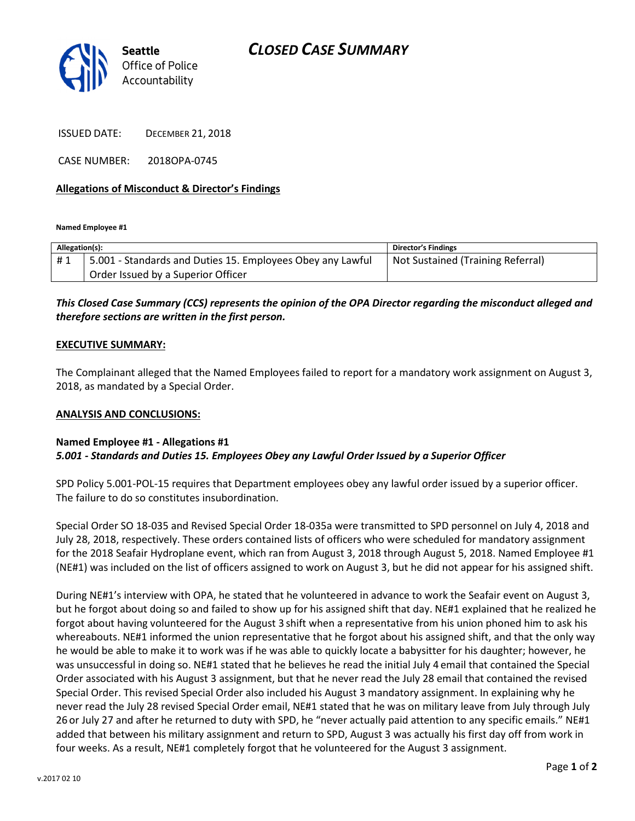

ISSUED DATE: DECEMBER 21, 2018

CASE NUMBER: 2018OPA-0745

#### Allegations of Misconduct & Director's Findings

Named Employee #1

| Allegation(s): |                                                            | <b>Director's Findings</b>        |
|----------------|------------------------------------------------------------|-----------------------------------|
| #1             | 5.001 - Standards and Duties 15. Employees Obey any Lawful | Not Sustained (Training Referral) |
|                | Order Issued by a Superior Officer                         |                                   |

## This Closed Case Summary (CCS) represents the opinion of the OPA Director regarding the misconduct alleged and therefore sections are written in the first person.

#### EXECUTIVE SUMMARY:

The Complainant alleged that the Named Employees failed to report for a mandatory work assignment on August 3, 2018, as mandated by a Special Order.

#### ANALYSIS AND CONCLUSIONS:

### Named Employee #1 - Allegations #1 5.001 - Standards and Duties 15. Employees Obey any Lawful Order Issued by a Superior Officer

SPD Policy 5.001-POL-15 requires that Department employees obey any lawful order issued by a superior officer. The failure to do so constitutes insubordination.

Special Order SO 18-035 and Revised Special Order 18-035a were transmitted to SPD personnel on July 4, 2018 and July 28, 2018, respectively. These orders contained lists of officers who were scheduled for mandatory assignment for the 2018 Seafair Hydroplane event, which ran from August 3, 2018 through August 5, 2018. Named Employee #1 (NE#1) was included on the list of officers assigned to work on August 3, but he did not appear for his assigned shift.

During NE#1's interview with OPA, he stated that he volunteered in advance to work the Seafair event on August 3, but he forgot about doing so and failed to show up for his assigned shift that day. NE#1 explained that he realized he forgot about having volunteered for the August 3 shift when a representative from his union phoned him to ask his whereabouts. NE#1 informed the union representative that he forgot about his assigned shift, and that the only way he would be able to make it to work was if he was able to quickly locate a babysitter for his daughter; however, he was unsuccessful in doing so. NE#1 stated that he believes he read the initial July 4 email that contained the Special Order associated with his August 3 assignment, but that he never read the July 28 email that contained the revised Special Order. This revised Special Order also included his August 3 mandatory assignment. In explaining why he never read the July 28 revised Special Order email, NE#1 stated that he was on military leave from July through July 26 or July 27 and after he returned to duty with SPD, he "never actually paid attention to any specific emails." NE#1 added that between his military assignment and return to SPD, August 3 was actually his first day off from work in four weeks. As a result, NE#1 completely forgot that he volunteered for the August 3 assignment.